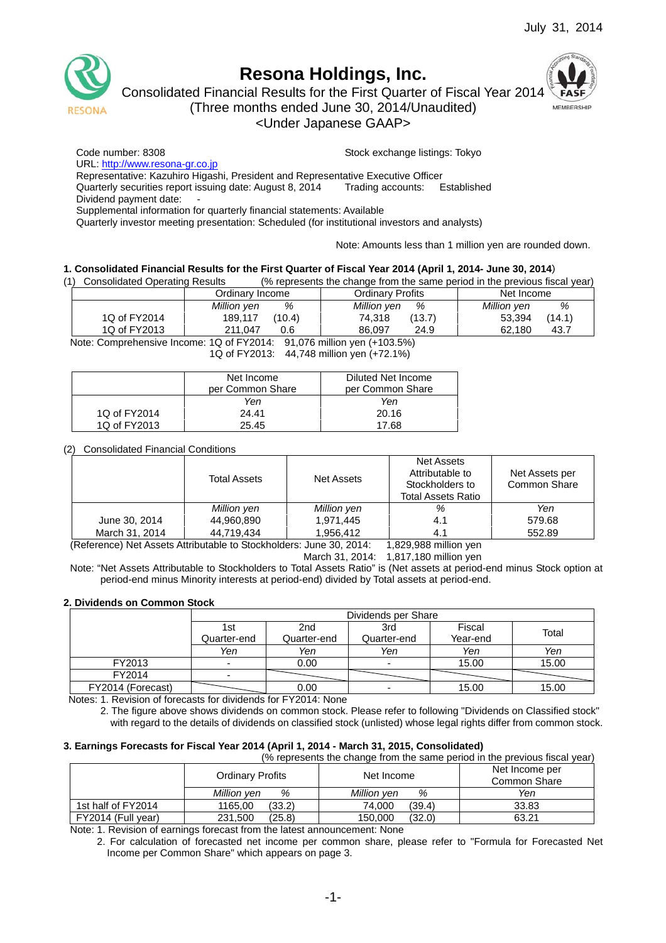

# **Resona Holdings, Inc.**

Consolidated Financial Results for the First Quarter of Fiscal Year 2014

MEMBERSHIP

(Three months ended June 30, 2014/Unaudited)

<Under Japanese GAAP>

Code number: 8308 Stock exchange listings: Tokyo

URL: http://www.resona-gr.co.jp

Representative: Kazuhiro Higashi, President and Representative Executive Officer

Quarterly securities report issuing date: August 8, 2014 Trading accounts: Established

Dividend payment date:

Supplemental information for quarterly financial statements: Available

Quarterly investor meeting presentation: Scheduled (for institutional investors and analysts)

Note: Amounts less than 1 million yen are rounded down.

### **1. Consolidated Financial Results for the First Quarter of Fiscal Year 2014 (April 1, 2014- June 30, 2014**)

(1) Consolidated Operating Results (% represents the change from the same period in the previous fiscal year)

|              | Ordinarv Income   | Ordinarv Profits | Net Income       |
|--------------|-------------------|------------------|------------------|
|              | %<br>Million yen  | Million yen<br>% | %<br>Million yen |
| 1Q of FY2014 | (10.4)<br>189.117 | (13.7)<br>74.318 | (14.1)<br>53.394 |
| 1Q of FY2013 | 211.047<br>0.6    | 24.9<br>86.097   | 43.7<br>62.180   |

Note: Comprehensive Income: 1Q of FY2014: 91,076 million yen (+103.5%) 1Q of FY2013: 44,748 million yen (+72.1%)

|              | Net Income       | Diluted Net Income |
|--------------|------------------|--------------------|
|              | per Common Share | per Common Share   |
|              | Yen              | Yen                |
| 1Q of FY2014 | 24.41            | 20.16              |
| 1Q of FY2013 | 25.45            | 17.68              |

## (2) Consolidated Financial Conditions

|                | <b>Total Assets</b> | Net Assets  | Net Assets<br>Attributable to<br>Stockholders to<br>Total Assets Ratio | Net Assets per<br>Common Share |
|----------------|---------------------|-------------|------------------------------------------------------------------------|--------------------------------|
|                | Million yen         | Million yen | %                                                                      | Yen                            |
| June 30, 2014  | 44,960,890          | 1,971,445   | 4.1                                                                    | 579.68                         |
| March 31, 2014 | 44,719,434          | 1,956,412   | 4.1                                                                    | 552.89                         |

(Reference) Net Assets Attributable to Stockholders: June 30, 2014: 1,829,988 million yen

March 31, 2014: 1,817,180 million yen

Note: "Net Assets Attributable to Stockholders to Total Assets Ratio" is (Net assets at period-end minus Stock option at period-end minus Minority interests at period-end) divided by Total assets at period-end.

### **2. Dividends on Common Stock**

|                   |             |             | Dividends per Share |          |       |
|-------------------|-------------|-------------|---------------------|----------|-------|
|                   | 1st         | 2nd         | 3rd                 | Fiscal   | Total |
|                   | Quarter-end | Quarter-end | Quarter-end         | Year-end |       |
|                   | Yen         | Yen         | Yen                 | Yen      | Yen   |
| FY2013            |             | 0.00        |                     | 15.00    | 15.00 |
| FY2014            |             |             |                     |          |       |
| FY2014 (Forecast) |             | 0.00        |                     | 15.00    | 15.00 |

Notes: 1. Revision of forecasts for dividends for FY2014: None

2. The figure above shows dividends on common stock. Please refer to following "Dividends on Classified stock" with regard to the details of dividends on classified stock (unlisted) whose legal rights differ from common stock.

# **3. Earnings Forecasts for Fiscal Year 2014 (April 1, 2014 - March 31, 2015, Consolidated)**

(% represents the change from the same period in the previous fiscal year)

|                    | Ordinary Profits  | Net Income        | Net Income per<br>Common Share |
|--------------------|-------------------|-------------------|--------------------------------|
|                    | Million ven<br>%  | Million ven<br>%  | Yen                            |
| 1st half of FY2014 | (33.2)<br>1165.00 | (39.4)<br>74.000  | 33.83                          |
| FY2014 (Full year) | (25.8)<br>231.500 | (32.0)<br>150,000 | 63.21                          |

Note: 1. Revision of earnings forecast from the latest announcement: None

2. For calculation of forecasted net income per common share, please refer to "Formula for Forecasted Net Income per Common Share" which appears on page 3.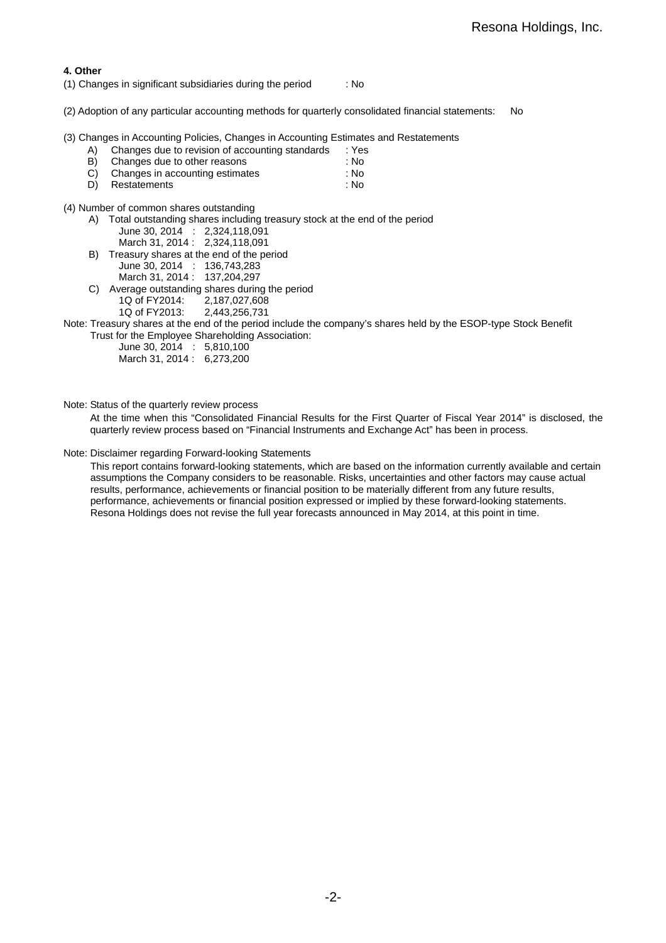### **4. Other**

- (1) Changes in significant subsidiaries during the period : No
- (2) Adoption of any particular accounting methods for quarterly consolidated financial statements: No

(3) Changes in Accounting Policies, Changes in Accounting Estimates and Restatements

- A) Changes due to revision of accounting standards : Yes
- B) Changes due to other reasons : No
- C) Changes in accounting estimates : No D) Restatements : No
- (4) Number of common shares outstanding
	- A) Total outstanding shares including treasury stock at the end of the period June 30, 2014 : 2,324,118,091 March 31, 2014 : 2,324,118,091
	- B) Treasury shares at the end of the period June 30, 2014 : 136,743,283
		- March 31, 2014 : 137, 204, 297
	- C) Average outstanding shares during the period
		- 1Q of FY2014: 2,187,027,608<br>1Q of FY2013: 2,443,256,731
		- 1Q of FY2013:
- Note: Treasury shares at the end of the period include the company's shares held by the ESOP-type Stock Benefit Trust for the Employee Shareholding Association:

June 30, 2014 : 5,810,100

| March 31, 2014: 6,273,200 |  |
|---------------------------|--|

Note: Status of the quarterly review process

At the time when this "Consolidated Financial Results for the First Quarter of Fiscal Year 2014" is disclosed, the quarterly review process based on "Financial Instruments and Exchange Act" has been in process.

### Note: Disclaimer regarding Forward-looking Statements

This report contains forward-looking statements, which are based on the information currently available and certain assumptions the Company considers to be reasonable. Risks, uncertainties and other factors may cause actual results, performance, achievements or financial position to be materially different from any future results, performance, achievements or financial position expressed or implied by these forward-looking statements. Resona Holdings does not revise the full year forecasts announced in May 2014, at this point in time.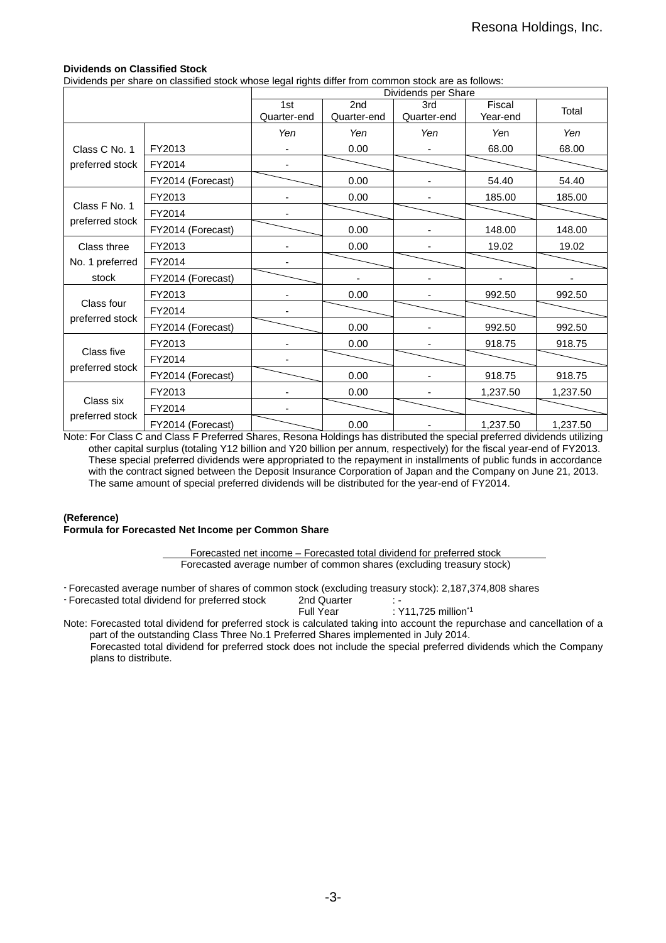## **Dividends on Classified Stock**

Dividends per share on classified stock whose legal rights differ from common stock are as follows:

|                 |                   |                    |                    | Dividends per Share |                    |          |
|-----------------|-------------------|--------------------|--------------------|---------------------|--------------------|----------|
|                 |                   | 1st<br>Quarter-end | 2nd<br>Quarter-end | 3rd<br>Quarter-end  | Fiscal<br>Year-end | Total    |
|                 |                   | Yen                | Yen                | Yen                 | Yen                | Yen      |
| Class C No. 1   | FY2013            |                    | 0.00               |                     | 68.00              | 68.00    |
| preferred stock | FY2014            |                    |                    |                     |                    |          |
|                 | FY2014 (Forecast) |                    | 0.00               |                     | 54.40              | 54.40    |
|                 | FY2013            | $\blacksquare$     | 0.00               |                     | 185.00             | 185.00   |
| Class F No. 1   | FY2014            |                    |                    |                     |                    |          |
| preferred stock | FY2014 (Forecast) |                    | 0.00               |                     | 148.00             | 148.00   |
| Class three     | FY2013            |                    | 0.00               |                     | 19.02              | 19.02    |
| No. 1 preferred | FY2014            |                    |                    |                     |                    |          |
| stock           | FY2014 (Forecast) |                    |                    |                     |                    |          |
|                 | FY2013            |                    | 0.00               |                     | 992.50             | 992.50   |
| Class four      | FY2014            |                    |                    |                     |                    |          |
| preferred stock | FY2014 (Forecast) |                    | 0.00               |                     | 992.50             | 992.50   |
|                 | FY2013            |                    | 0.00               |                     | 918.75             | 918.75   |
| Class five      | FY2014            |                    |                    |                     |                    |          |
| preferred stock | FY2014 (Forecast) |                    | 0.00               |                     | 918.75             | 918.75   |
|                 | FY2013            |                    | 0.00               |                     | 1,237.50           | 1,237.50 |
| Class six       | FY2014            |                    |                    |                     |                    |          |
| preferred stock | FY2014 (Forecast) |                    | 0.00               |                     | 1,237.50           | 1,237.50 |

Note: For Class C and Class F Preferred Shares, Resona Holdings has distributed the special preferred dividends utilizing other capital surplus (totaling Y12 billion and Y20 billion per annum, respectively) for the fiscal year-end of FY2013. These special preferred dividends were appropriated to the repayment in installments of public funds in accordance with the contract signed between the Deposit Insurance Corporation of Japan and the Company on June 21, 2013. The same amount of special preferred dividends will be distributed for the year-end of FY2014.

### **(Reference)**

**Formula for Forecasted Net Income per Common Share** 

Forecasted net income – Forecasted total dividend for preferred stock Forecasted average number of common shares (excluding treasury stock)

- Forecasted average number of shares of common stock (excluding treasury stock): 2,187,374,808 shares

- Forecasted total dividend for preferred stock 2nd Quarter<br>Full Year : Y11,725 million $1$ 

Note: Forecasted total dividend for preferred stock is calculated taking into account the repurchase and cancellation of a part of the outstanding Class Three No.1 Preferred Shares implemented in July 2014. Forecasted total dividend for preferred stock does not include the special preferred dividends which the Company plans to distribute.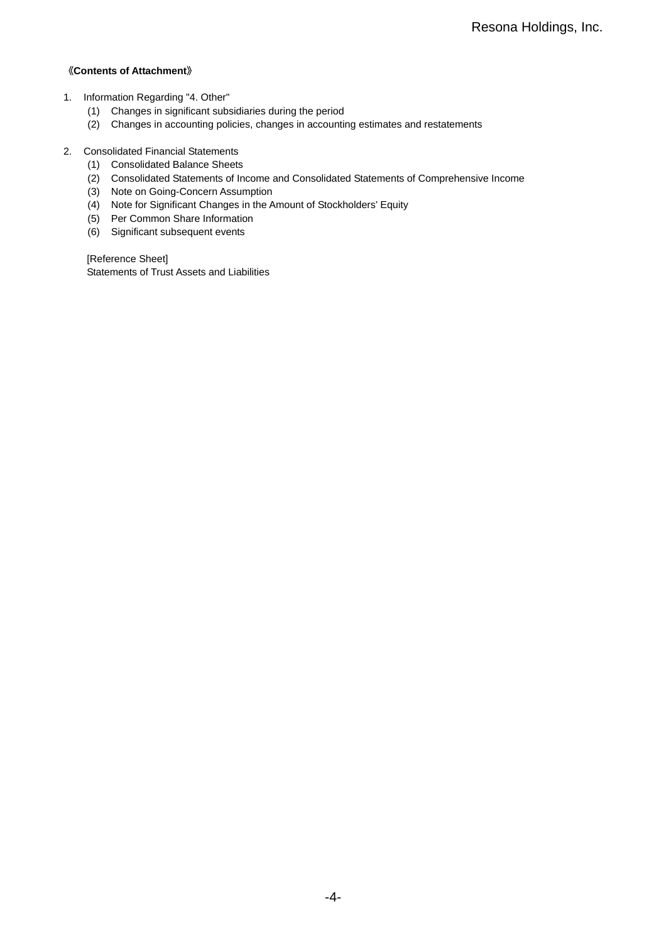# 《**Contents of Attachment**》

- 1. Information Regarding "4. Other"
	- (1) Changes in significant subsidiaries during the period
	- (2) Changes in accounting policies, changes in accounting estimates and restatements
- 2. Consolidated Financial Statements
	- (1) Consolidated Balance Sheets
	- (2) Consolidated Statements of Income and Consolidated Statements of Comprehensive Income
	- (3) Note on Going-Concern Assumption
	- (4) Note for Significant Changes in the Amount of Stockholders' Equity
	- (5) Per Common Share Information
	- (6) Significant subsequent events

[Reference Sheet] Statements of Trust Assets and Liabilities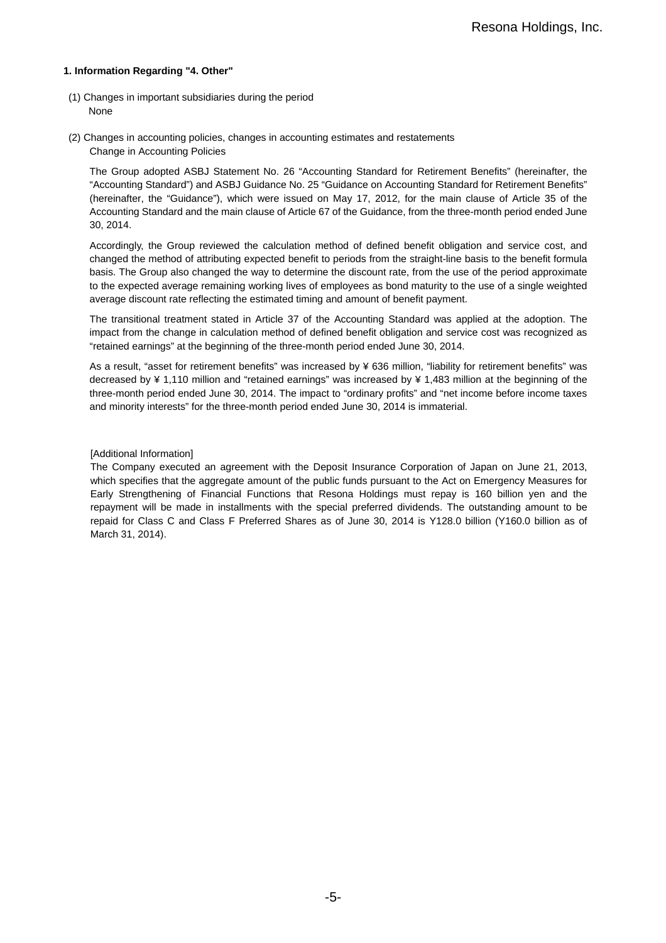### **1. Information Regarding "4. Other"**

- (1) Changes in important subsidiaries during the period None
- (2) Changes in accounting policies, changes in accounting estimates and restatements Change in Accounting Policies

The Group adopted ASBJ Statement No. 26 "Accounting Standard for Retirement Benefits" (hereinafter, the "Accounting Standard") and ASBJ Guidance No. 25 "Guidance on Accounting Standard for Retirement Benefits" (hereinafter, the "Guidance"), which were issued on May 17, 2012, for the main clause of Article 35 of the Accounting Standard and the main clause of Article 67 of the Guidance, from the three-month period ended June 30, 2014.

Accordingly, the Group reviewed the calculation method of defined benefit obligation and service cost, and changed the method of attributing expected benefit to periods from the straight-line basis to the benefit formula basis. The Group also changed the way to determine the discount rate, from the use of the period approximate to the expected average remaining working lives of employees as bond maturity to the use of a single weighted average discount rate reflecting the estimated timing and amount of benefit payment.

The transitional treatment stated in Article 37 of the Accounting Standard was applied at the adoption. The impact from the change in calculation method of defined benefit obligation and service cost was recognized as "retained earnings" at the beginning of the three-month period ended June 30, 2014.

As a result, "asset for retirement benefits" was increased by ¥ 636 million, "liability for retirement benefits" was decreased by ¥ 1,110 million and "retained earnings" was increased by ¥ 1,483 million at the beginning of the three-month period ended June 30, 2014. The impact to "ordinary profits" and "net income before income taxes and minority interests" for the three-month period ended June 30, 2014 is immaterial.

### [Additional Information]

The Company executed an agreement with the Deposit Insurance Corporation of Japan on June 21, 2013, which specifies that the aggregate amount of the public funds pursuant to the Act on Emergency Measures for Early Strengthening of Financial Functions that Resona Holdings must repay is 160 billion yen and the repayment will be made in installments with the special preferred dividends. The outstanding amount to be repaid for Class C and Class F Preferred Shares as of June 30, 2014 is Y128.0 billion (Y160.0 billion as of March 31, 2014).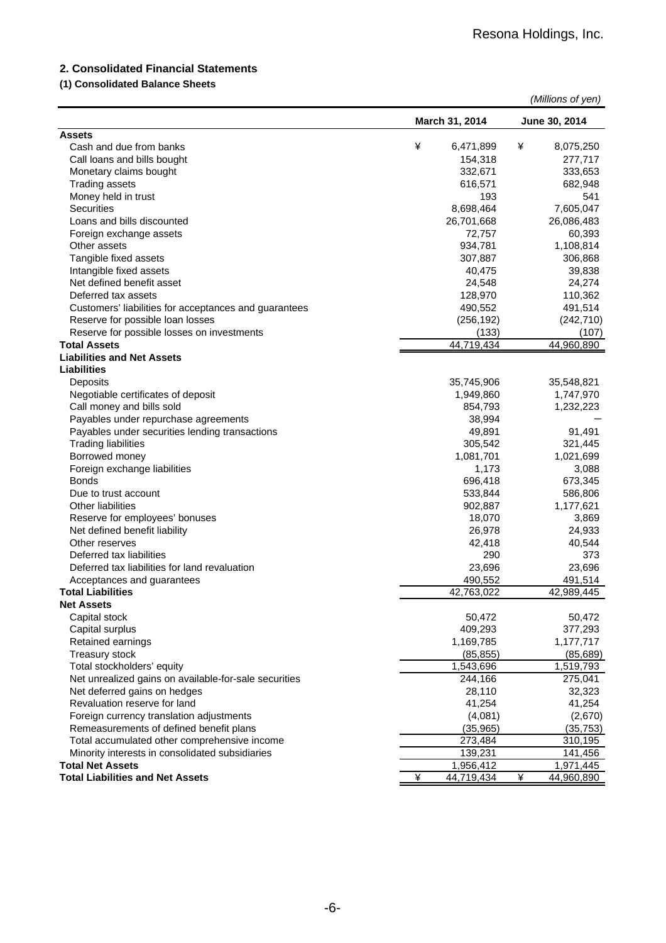# **2. Consolidated Financial Statements**

# **(1) Consolidated Balance Sheets**

|                                                                            |                      | (Millions of yen)    |
|----------------------------------------------------------------------------|----------------------|----------------------|
|                                                                            | March 31, 2014       | June 30, 2014        |
| <b>Assets</b>                                                              |                      |                      |
| Cash and due from banks                                                    | ¥<br>6,471,899       | ¥<br>8,075,250       |
| Call loans and bills bought                                                | 154,318              | 277,717              |
| Monetary claims bought                                                     | 332,671              | 333,653              |
| <b>Trading assets</b>                                                      | 616,571              | 682,948              |
| Money held in trust                                                        | 193                  | 541                  |
| <b>Securities</b>                                                          | 8,698,464            | 7,605,047            |
| Loans and bills discounted                                                 | 26,701,668           | 26,086,483           |
| Foreign exchange assets<br>Other assets                                    | 72,757<br>934,781    | 60,393<br>1,108,814  |
| Tangible fixed assets                                                      | 307,887              | 306,868              |
| Intangible fixed assets                                                    | 40,475               | 39,838               |
| Net defined benefit asset                                                  | 24,548               | 24,274               |
| Deferred tax assets                                                        | 128,970              | 110,362              |
| Customers' liabilities for acceptances and guarantees                      | 490,552              | 491,514              |
| Reserve for possible loan losses                                           | (256, 192)           | (242, 710)           |
| Reserve for possible losses on investments                                 | (133)                | (107)                |
| <b>Total Assets</b>                                                        | 44,719,434           | 44,960,890           |
| <b>Liabilities and Net Assets</b>                                          |                      |                      |
| Liabilities                                                                |                      |                      |
| Deposits                                                                   | 35,745,906           | 35,548,821           |
| Negotiable certificates of deposit                                         | 1,949,860            | 1,747,970            |
| Call money and bills sold                                                  | 854,793              | 1,232,223            |
| Payables under repurchase agreements                                       | 38,994               |                      |
| Payables under securities lending transactions                             | 49,891               | 91,491               |
| <b>Trading liabilities</b>                                                 | 305,542              | 321,445              |
| Borrowed money                                                             | 1,081,701            | 1,021,699            |
| Foreign exchange liabilities                                               | 1,173                | 3,088                |
| <b>Bonds</b>                                                               | 696,418              | 673,345              |
| Due to trust account                                                       | 533,844              | 586,806              |
| <b>Other liabilities</b>                                                   | 902,887              | 1,177,621            |
| Reserve for employees' bonuses                                             | 18,070               | 3,869                |
| Net defined benefit liability                                              | 26,978               | 24,933               |
| Other reserves                                                             | 42,418               | 40,544               |
| Deferred tax liabilities                                                   | 290                  | 373                  |
| Deferred tax liabilities for land revaluation                              | 23,696               | 23,696               |
| Acceptances and guarantees                                                 | 490,552              | 491,514              |
| <b>Total Liabilities</b>                                                   | 42.763.022           | 42.989.445           |
| Net Assets                                                                 |                      |                      |
| Capital stock                                                              | 50,472               | 50,472               |
| Capital surplus                                                            | 409,293              | 377,293              |
| Retained earnings                                                          | 1,169,785            | 1,177,717            |
| Treasury stock                                                             | (85, 855)            | (85, 689)            |
| Total stockholders' equity                                                 | 1,543,696            | 1,519,793            |
| Net unrealized gains on available-for-sale securities                      | 244,166              | 275,041              |
| Net deferred gains on hedges                                               | 28,110               | 32,323               |
| Revaluation reserve for land                                               | 41,254               | 41,254               |
| Foreign currency translation adjustments                                   | (4,081)              | (2,670)              |
| Remeasurements of defined benefit plans                                    | (35, 965)            | (35, 753)            |
| Total accumulated other comprehensive income                               | 273,484              | 310,195              |
| Minority interests in consolidated subsidiaries<br><b>Total Net Assets</b> | 139,231<br>1,956,412 | 141,456<br>1,971,445 |
| <b>Total Liabilities and Net Assets</b>                                    | ¥<br>44,719,434      | ¥<br>44,960,890      |
|                                                                            |                      |                      |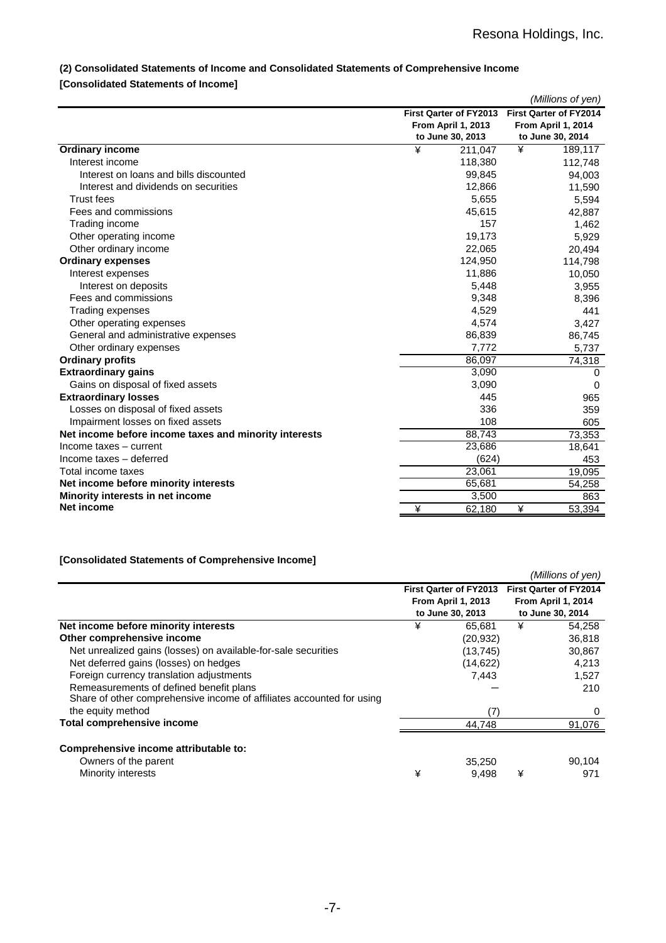# **(2) Consolidated Statements of Income and Consolidated Statements of Comprehensive Income**

# **[Consolidated Statements of Income]**

|                                                       |   |                        |   | (Millions of yen)             |
|-------------------------------------------------------|---|------------------------|---|-------------------------------|
|                                                       |   | First Qarter of FY2013 |   | <b>First Qarter of FY2014</b> |
|                                                       |   | From April 1, 2013     |   | From April 1, 2014            |
|                                                       |   | to June 30, 2013       |   | to June 30, 2014              |
| Ordinary income                                       | ¥ | 211,047                | ¥ | 189,117                       |
| Interest income                                       |   | 118,380                |   | 112,748                       |
| Interest on loans and bills discounted                |   | 99,845                 |   | 94,003                        |
| Interest and dividends on securities                  |   | 12,866                 |   | 11,590                        |
| <b>Trust fees</b>                                     |   | 5,655                  |   | 5,594                         |
| Fees and commissions                                  |   | 45,615                 |   | 42,887                        |
| Trading income                                        |   | 157                    |   | 1,462                         |
| Other operating income                                |   | 19,173                 |   | 5,929                         |
| Other ordinary income                                 |   | 22,065                 |   | 20,494                        |
| <b>Ordinary expenses</b>                              |   | 124,950                |   | 114,798                       |
| Interest expenses                                     |   | 11,886                 |   | 10,050                        |
| Interest on deposits                                  |   | 5,448                  |   | 3,955                         |
| Fees and commissions                                  |   | 9,348                  |   | 8,396                         |
| Trading expenses                                      |   | 4,529                  |   | 441                           |
| Other operating expenses                              |   | 4,574                  |   | 3,427                         |
| General and administrative expenses                   |   | 86,839                 |   | 86,745                        |
| Other ordinary expenses                               |   | 7,772                  |   | 5,737                         |
| <b>Ordinary profits</b>                               |   | 86,097                 |   | 74,318                        |
| <b>Extraordinary gains</b>                            |   | 3,090                  |   | 0                             |
| Gains on disposal of fixed assets                     |   | 3,090                  |   | $\Omega$                      |
| <b>Extraordinary losses</b>                           |   | 445                    |   | 965                           |
| Losses on disposal of fixed assets                    |   | 336                    |   | 359                           |
| Impairment losses on fixed assets                     |   | 108                    |   | 605                           |
| Net income before income taxes and minority interests |   | 88,743                 |   | 73,353                        |
| Income taxes - current                                |   | 23,686                 |   | 18,641                        |
| Income taxes - deferred                               |   | (624)                  |   | 453                           |
| Total income taxes                                    |   | 23,061                 |   | 19,095                        |
| Net income before minority interests                  |   | 65,681                 |   | 54,258                        |
| Minority interests in net income                      |   | 3,500                  |   | 863                           |
| Net income                                            | ¥ | 62,180                 | ¥ | 53,394                        |

# **[Consolidated Statements of Comprehensive Income]**

|                                                                       |   |                               |   | (Millions of yen)             |
|-----------------------------------------------------------------------|---|-------------------------------|---|-------------------------------|
|                                                                       |   | <b>First Qarter of FY2013</b> |   | <b>First Qarter of FY2014</b> |
|                                                                       |   | <b>From April 1, 2013</b>     |   | From April 1, 2014            |
|                                                                       |   | to June 30, 2013              |   | to June 30, 2014              |
| Net income before minority interests                                  | ¥ | 65,681                        | ¥ | 54,258                        |
| Other comprehensive income                                            |   | (20, 932)                     |   | 36,818                        |
| Net unrealized gains (losses) on available-for-sale securities        |   | (13, 745)                     |   | 30,867                        |
| Net deferred gains (losses) on hedges                                 |   | (14, 622)                     |   | 4,213                         |
| Foreign currency translation adjustments                              |   | 7,443                         |   | 1,527                         |
| Remeasurements of defined benefit plans                               |   |                               |   | 210                           |
| Share of other comprehensive income of affiliates accounted for using |   |                               |   |                               |
| the equity method                                                     |   | (7)                           |   | 0                             |
| Total comprehensive income                                            |   | 44.748                        |   | 91.076                        |
|                                                                       |   |                               |   |                               |
| Comprehensive income attributable to:                                 |   |                               |   |                               |
| Owners of the parent                                                  |   | 35,250                        |   | 90,104                        |
| Minority interests                                                    | ¥ | 9,498                         | ¥ | 971                           |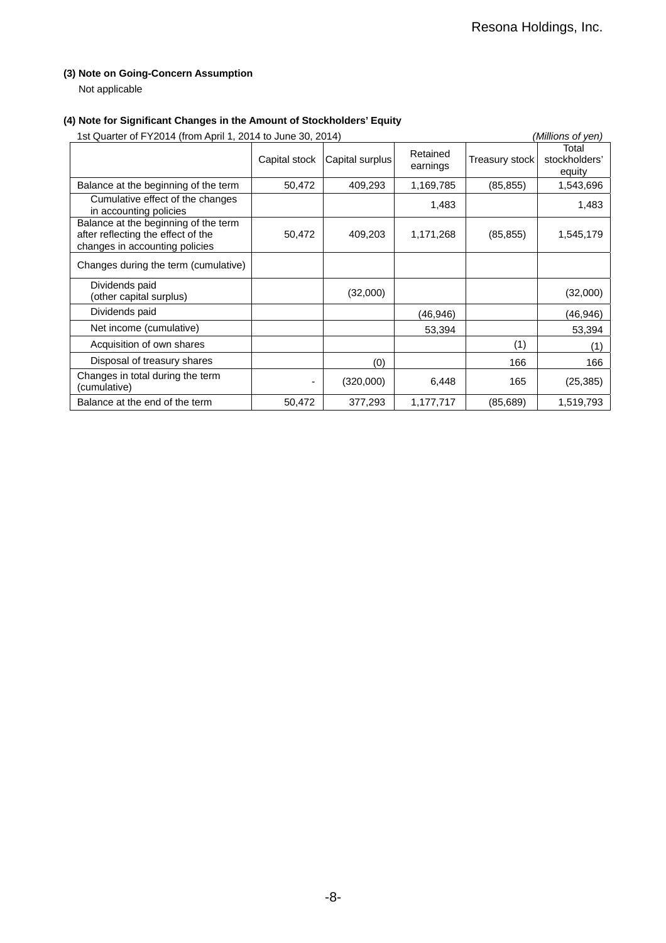# **(3) Note on Going-Concern Assumption**

Not applicable

# **(4) Note for Significant Changes in the Amount of Stockholders' Equity**

| 1st Quarter of FY2014 (from April 1, 2014 to June 30, 2014)                                                  |               |                 |                      |                | (Millions of yen)                |
|--------------------------------------------------------------------------------------------------------------|---------------|-----------------|----------------------|----------------|----------------------------------|
|                                                                                                              | Capital stock | Capital surplus | Retained<br>earnings | Treasury stock | Total<br>stockholders'<br>equity |
| Balance at the beginning of the term                                                                         | 50,472        | 409.293         | 1,169,785            | (85, 855)      | 1,543,696                        |
| Cumulative effect of the changes<br>in accounting policies                                                   |               |                 | 1,483                |                | 1,483                            |
| Balance at the beginning of the term<br>after reflecting the effect of the<br>changes in accounting policies | 50,472        | 409,203         | 1,171,268            | (85, 855)      | 1,545,179                        |
| Changes during the term (cumulative)                                                                         |               |                 |                      |                |                                  |
| Dividends paid<br>(other capital surplus)                                                                    |               | (32,000)        |                      |                | (32,000)                         |
| Dividends paid                                                                                               |               |                 | (46,946)             |                | (46, 946)                        |
| Net income (cumulative)                                                                                      |               |                 | 53,394               |                | 53,394                           |
| Acquisition of own shares                                                                                    |               |                 |                      | (1)            | (1)                              |
| Disposal of treasury shares                                                                                  |               | (0)             |                      | 166            | 166                              |
| Changes in total during the term<br>(cumulative)                                                             |               | (320,000)       | 6,448                | 165            | (25, 385)                        |
| Balance at the end of the term                                                                               | 50,472        | 377,293         | 1,177,717            | (85,689)       | 1,519,793                        |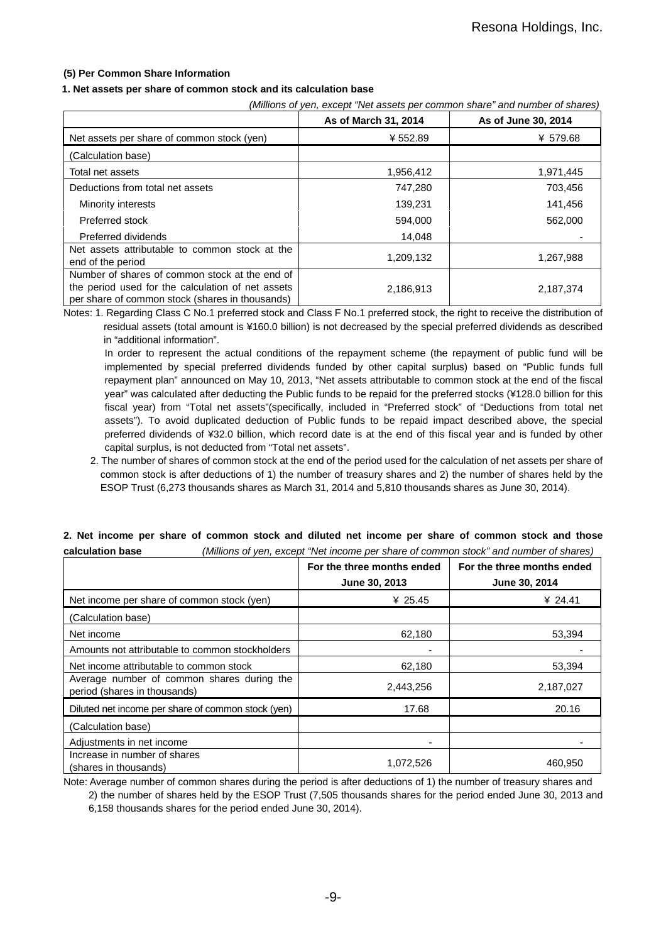## **(5) Per Common Share Information**

### **1. Net assets per share of common stock and its calculation base**

|--|

|                                                                                                                                                        | As of March 31, 2014 | As of June 30, 2014 |
|--------------------------------------------------------------------------------------------------------------------------------------------------------|----------------------|---------------------|
| Net assets per share of common stock (yen)                                                                                                             | ¥552.89              | ¥ 579.68            |
| (Calculation base)                                                                                                                                     |                      |                     |
| Total net assets                                                                                                                                       | 1,956,412            | 1,971,445           |
| Deductions from total net assets                                                                                                                       | 747,280              | 703,456             |
| Minority interests                                                                                                                                     | 139,231              | 141,456             |
| Preferred stock                                                                                                                                        | 594,000              | 562,000             |
| Preferred dividends                                                                                                                                    | 14,048               |                     |
| Net assets attributable to common stock at the<br>end of the period                                                                                    | 1,209,132            | 1,267,988           |
| Number of shares of common stock at the end of<br>the period used for the calculation of net assets<br>per share of common stock (shares in thousands) | 2,186,913            | 2,187,374           |

Notes: 1. Regarding Class C No.1 preferred stock and Class F No.1 preferred stock, the right to receive the distribution of residual assets (total amount is ¥160.0 billion) is not decreased by the special preferred dividends as described in "additional information".

In order to represent the actual conditions of the repayment scheme (the repayment of public fund will be implemented by special preferred dividends funded by other capital surplus) based on "Public funds full repayment plan" announced on May 10, 2013, "Net assets attributable to common stock at the end of the fiscal year" was calculated after deducting the Public funds to be repaid for the preferred stocks (¥128.0 billion for this fiscal year) from "Total net assets"(specifically, included in "Preferred stock" of "Deductions from total net assets"). To avoid duplicated deduction of Public funds to be repaid impact described above, the special preferred dividends of ¥32.0 billion, which record date is at the end of this fiscal year and is funded by other capital surplus, is not deducted from "Total net assets".

2. The number of shares of common stock at the end of the period used for the calculation of net assets per share of common stock is after deductions of 1) the number of treasury shares and 2) the number of shares held by the ESOP Trust (6,273 thousands shares as March 31, 2014 and 5,810 thousands shares as June 30, 2014).

|                                                                            | For the three months ended<br>June 30, 2013 | For the three months ended<br>June 30, 2014 |
|----------------------------------------------------------------------------|---------------------------------------------|---------------------------------------------|
| Net income per share of common stock (yen)                                 | ¥ 25.45                                     | ¥ 24.41                                     |
| (Calculation base)                                                         |                                             |                                             |
| Net income                                                                 | 62,180                                      | 53,394                                      |
| Amounts not attributable to common stockholders                            |                                             |                                             |
| Net income attributable to common stock                                    | 62,180                                      | 53,394                                      |
| Average number of common shares during the<br>period (shares in thousands) | 2,443,256                                   | 2,187,027                                   |
| Diluted net income per share of common stock (yen)                         | 17.68                                       | 20.16                                       |
| (Calculation base)                                                         |                                             |                                             |
| Adjustments in net income                                                  |                                             |                                             |
| Increase in number of shares<br>(shares in thousands)                      | 1,072,526                                   | 460,950                                     |

# **2. Net income per share of common stock and diluted net income per share of common stock and those calculation base** *(Millions of yen, except "Net income per share of common stock" and number of shares)*

Note: Average number of common shares during the period is after deductions of 1) the number of treasury shares and

 2) the number of shares held by the ESOP Trust (7,505 thousands shares for the period ended June 30, 2013 and 6,158 thousands shares for the period ended June 30, 2014).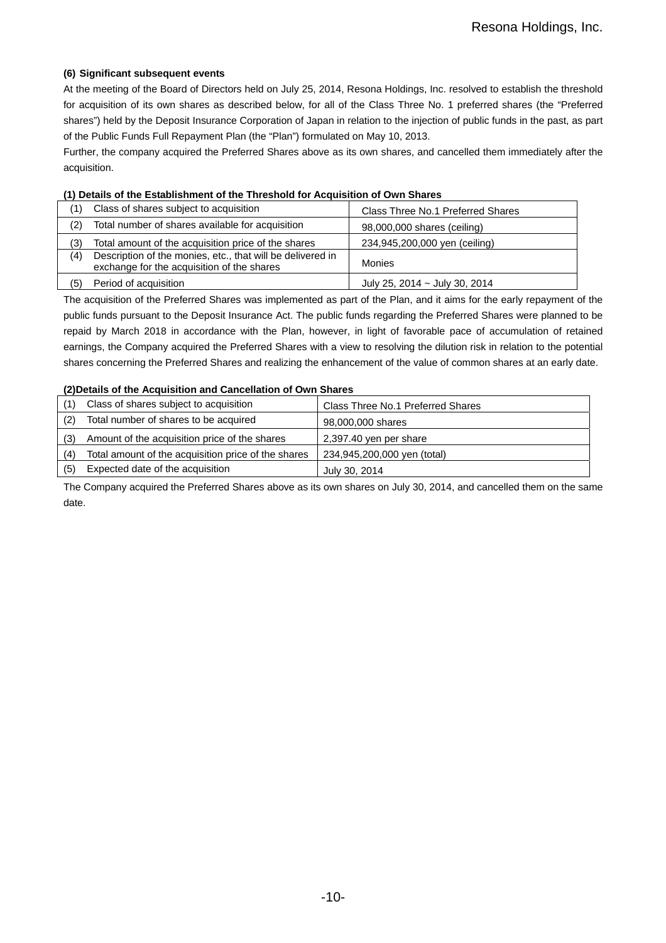# **(6) Significant subsequent events**

At the meeting of the Board of Directors held on July 25, 2014, Resona Holdings, Inc. resolved to establish the threshold for acquisition of its own shares as described below, for all of the Class Three No. 1 preferred shares (the "Preferred shares") held by the Deposit Insurance Corporation of Japan in relation to the injection of public funds in the past, as part of the Public Funds Full Repayment Plan (the "Plan") formulated on May 10, 2013.

Further, the company acquired the Preferred Shares above as its own shares, and cancelled them immediately after the acquisition.

### **(1) Details of the Establishment of the Threshold for Acquisition of Own Shares**

|     | Class of shares subject to acquisition                                                                   | Class Three No.1 Preferred Shares  |
|-----|----------------------------------------------------------------------------------------------------------|------------------------------------|
| (2) | Total number of shares available for acquisition                                                         | 98,000,000 shares (ceiling)        |
| (3) | Total amount of the acquisition price of the shares                                                      | 234,945,200,000 yen (ceiling)      |
| (4) | Description of the monies, etc., that will be delivered in<br>exchange for the acquisition of the shares | Monies                             |
| (5) | Period of acquisition                                                                                    | July 25, 2014 $\sim$ July 30, 2014 |

The acquisition of the Preferred Shares was implemented as part of the Plan, and it aims for the early repayment of the public funds pursuant to the Deposit Insurance Act. The public funds regarding the Preferred Shares were planned to be repaid by March 2018 in accordance with the Plan, however, in light of favorable pace of accumulation of retained earnings, the Company acquired the Preferred Shares with a view to resolving the dilution risk in relation to the potential shares concerning the Preferred Shares and realizing the enhancement of the value of common shares at an early date.

### **(2)Details of the Acquisition and Cancellation of Own Shares**

| (1) | Class of shares subject to acquisition              | Class Three No.1 Preferred Shares |
|-----|-----------------------------------------------------|-----------------------------------|
| (2) | Total number of shares to be acquired               | 98,000,000 shares                 |
| (3) | Amount of the acquisition price of the shares       | 2,397.40 yen per share            |
| (4) | Total amount of the acquisition price of the shares | 234,945,200,000 yen (total)       |
| (5) | Expected date of the acquisition                    | July 30, 2014                     |

The Company acquired the Preferred Shares above as its own shares on July 30, 2014, and cancelled them on the same date.